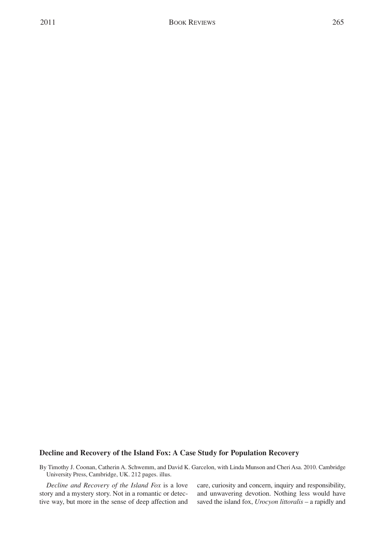## **Decline and Recovery of the Island Fox: A Case Study for Population Recovery**

By Timothy J. Coonan, Catherin A. Schwemm, and David K. Garcelon, with Linda Munson and Cheri Asa. 2010. Cambridge University Press, Cambridge, UK. 212 pages. illus.

*Decline and Recovery of the Island Fox* is a love story and a mystery story. Not in a romantic or detective way, but more in the sense of deep affection and care, curiosity and concern, inquiry and responsibility, and unwavering devotion. Nothing less would have saved the island fox, *Urocyon littoralis* – a rapidly and